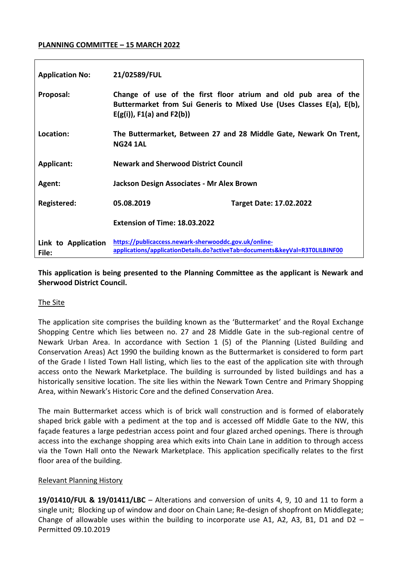### **PLANNING COMMITTEE – 15 MARCH 2022**

| <b>Application No:</b>       | 21/02589/FUL                                                                                                                         |                                                                                                                                         |
|------------------------------|--------------------------------------------------------------------------------------------------------------------------------------|-----------------------------------------------------------------------------------------------------------------------------------------|
| Proposal:                    | $E(g(i))$ , F1(a) and F2(b))                                                                                                         | Change of use of the first floor atrium and old pub area of the<br>Buttermarket from Sui Generis to Mixed Use (Uses Classes E(a), E(b), |
| Location:                    | <b>NG24 1AL</b>                                                                                                                      | The Buttermarket, Between 27 and 28 Middle Gate, Newark On Trent,                                                                       |
| <b>Applicant:</b>            | <b>Newark and Sherwood District Council</b>                                                                                          |                                                                                                                                         |
| Agent:                       | Jackson Design Associates - Mr Alex Brown                                                                                            |                                                                                                                                         |
| Registered:                  | 05.08.2019                                                                                                                           | <b>Target Date: 17.02.2022</b>                                                                                                          |
|                              | Extension of Time: 18.03.2022                                                                                                        |                                                                                                                                         |
| Link to Application<br>File: | https://publicaccess.newark-sherwooddc.gov.uk/online-<br>applications/applicationDetails.do?activeTab=documents&keyVal=R3T0LILBINF00 |                                                                                                                                         |

## **This application is being presented to the Planning Committee as the applicant is Newark and Sherwood District Council.**

## The Site

The application site comprises the building known as the 'Buttermarket' and the Royal Exchange Shopping Centre which lies between no. 27 and 28 Middle Gate in the sub-regional centre of Newark Urban Area. In accordance with Section 1 (5) of the Planning (Listed Building and Conservation Areas) Act 1990 the building known as the Buttermarket is considered to form part of the Grade I listed Town Hall listing, which lies to the east of the application site with through access onto the Newark Marketplace. The building is surrounded by listed buildings and has a historically sensitive location. The site lies within the Newark Town Centre and Primary Shopping Area, within Newark's Historic Core and the defined Conservation Area.

The main Buttermarket access which is of brick wall construction and is formed of elaborately shaped brick gable with a pediment at the top and is accessed off Middle Gate to the NW, this façade features a large pedestrian access point and four glazed arched openings. There is through access into the exchange shopping area which exits into Chain Lane in addition to through access via the Town Hall onto the Newark Marketplace. This application specifically relates to the first floor area of the building.

### Relevant Planning History

**19/01410/FUL & 19/01411/LBC** – Alterations and conversion of units 4, 9, 10 and 11 to form a single unit; Blocking up of window and door on Chain Lane; Re-design of shopfront on Middlegate; Change of allowable uses within the building to incorporate use A1, A2, A3, B1, D1 and D2  $-$ Permitted 09.10.2019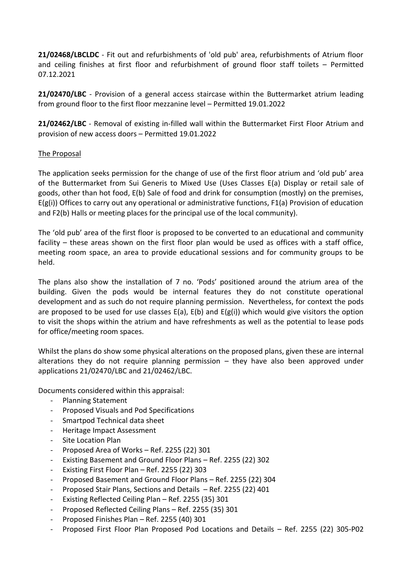**21/02468/LBCLDC** - Fit out and refurbishments of 'old pub' area, refurbishments of Atrium floor and ceiling finishes at first floor and refurbishment of ground floor staff toilets – Permitted 07.12.2021

**21/02470/LBC** - Provision of a general access staircase within the Buttermarket atrium leading from ground floor to the first floor mezzanine level – Permitted 19.01.2022

**21/02462/LBC** - Removal of existing in-filled wall within the Buttermarket First Floor Atrium and provision of new access doors – Permitted 19.01.2022

### The Proposal

The application seeks permission for the change of use of the first floor atrium and 'old pub' area of the Buttermarket from Sui Generis to Mixed Use (Uses Classes E(a) Display or retail sale of goods, other than hot food, E(b) Sale of food and drink for consumption (mostly) on the premises, E(g(i)) Offices to carry out any operational or administrative functions, F1(a) Provision of education and F2(b) Halls or meeting places for the principal use of the local community).

The 'old pub' area of the first floor is proposed to be converted to an educational and community facility – these areas shown on the first floor plan would be used as offices with a staff office, meeting room space, an area to provide educational sessions and for community groups to be held.

The plans also show the installation of 7 no. 'Pods' positioned around the atrium area of the building. Given the pods would be internal features they do not constitute operational development and as such do not require planning permission. Nevertheless, for context the pods are proposed to be used for use classes  $E(a)$ ,  $E(b)$  and  $E(g(i))$  which would give visitors the option to visit the shops within the atrium and have refreshments as well as the potential to lease pods for office/meeting room spaces.

Whilst the plans do show some physical alterations on the proposed plans, given these are internal alterations they do not require planning permission  $-$  they have also been approved under applications 21/02470/LBC and 21/02462/LBC.

Documents considered within this appraisal:

- Planning Statement
- Proposed Visuals and Pod Specifications
- Smartpod Technical data sheet
- Heritage Impact Assessment
- Site Location Plan
- Proposed Area of Works Ref. 2255 (22) 301
- Existing Basement and Ground Floor Plans Ref. 2255 (22) 302
- Existing First Floor Plan Ref. 2255 (22) 303
- Proposed Basement and Ground Floor Plans Ref. 2255 (22) 304
- Proposed Stair Plans, Sections and Details Ref. 2255 (22) 401
- Existing Reflected Ceiling Plan Ref. 2255 (35) 301
- Proposed Reflected Ceiling Plans Ref. 2255 (35) 301
- Proposed Finishes Plan Ref. 2255 (40) 301
- Proposed First Floor Plan Proposed Pod Locations and Details Ref. 2255 (22) 305-P02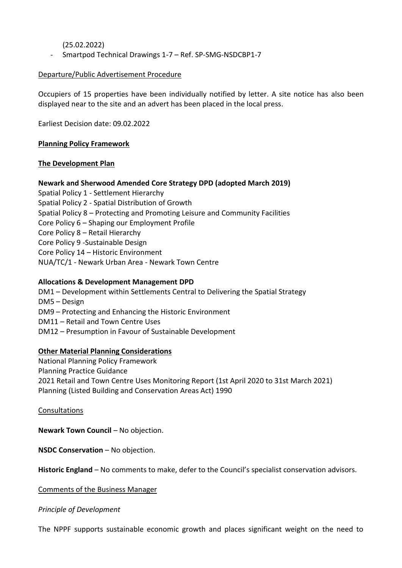(25.02.2022)

- Smartpod Technical Drawings 1-7 – Ref. SP-SMG-NSDCBP1-7

### Departure/Public Advertisement Procedure

Occupiers of 15 properties have been individually notified by letter. A site notice has also been displayed near to the site and an advert has been placed in the local press.

Earliest Decision date: 09.02.2022

### **Planning Policy Framework**

### **The Development Plan**

## **Newark and Sherwood Amended Core Strategy DPD (adopted March 2019)**

Spatial Policy 1 - Settlement Hierarchy Spatial Policy 2 - Spatial Distribution of Growth Spatial Policy 8 – Protecting and Promoting Leisure and Community Facilities Core Policy 6 – Shaping our Employment Profile Core Policy 8 – Retail Hierarchy Core Policy 9 -Sustainable Design Core Policy 14 – Historic Environment NUA/TC/1 - Newark Urban Area - Newark Town Centre

## **Allocations & Development Management DPD**

DM1 – Development within Settlements Central to Delivering the Spatial Strategy DM5 – Design DM9 – Protecting and Enhancing the Historic Environment DM11 – Retail and Town Centre Uses DM12 – Presumption in Favour of Sustainable Development

### **Other Material Planning Considerations**

National Planning Policy Framework Planning Practice Guidance 2021 Retail and Town Centre Uses Monitoring Report (1st April 2020 to 31st March 2021) Planning (Listed Building and Conservation Areas Act) 1990

### Consultations

**Newark Town Council - No objection.** 

**NSDC Conservation** – No objection.

**Historic England** – No comments to make, defer to the Council's specialist conservation advisors.

Comments of the Business Manager

#### *Principle of Development*

The NPPF supports sustainable economic growth and places significant weight on the need to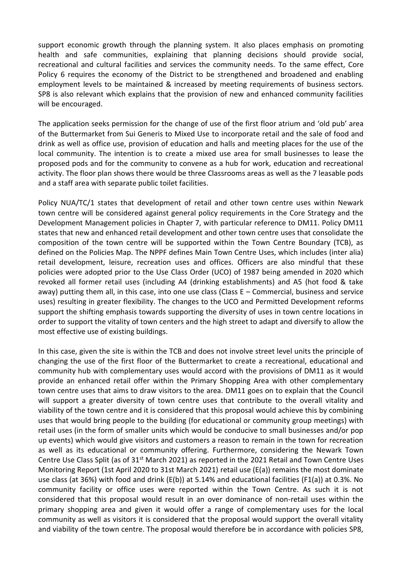support economic growth through the planning system. It also places emphasis on promoting health and safe communities, explaining that planning decisions should provide social, recreational and cultural facilities and services the community needs. To the same effect, Core Policy 6 requires the economy of the District to be strengthened and broadened and enabling employment levels to be maintained & increased by meeting requirements of business sectors. SP8 is also relevant which explains that the provision of new and enhanced community facilities will be encouraged.

The application seeks permission for the change of use of the first floor atrium and 'old pub' area of the Buttermarket from Sui Generis to Mixed Use to incorporate retail and the sale of food and drink as well as office use, provision of education and halls and meeting places for the use of the local community. The intention is to create a mixed use area for small businesses to lease the proposed pods and for the community to convene as a hub for work, education and recreational activity. The floor plan shows there would be three Classrooms areas as well as the 7 leasable pods and a staff area with separate public toilet facilities.

Policy NUA/TC/1 states that development of retail and other town centre uses within Newark town centre will be considered against general policy requirements in the Core Strategy and the Development Management policies in Chapter 7, with particular reference to DM11. Policy DM11 states that new and enhanced retail development and other town centre uses that consolidate the composition of the town centre will be supported within the Town Centre Boundary (TCB), as defined on the Policies Map. The NPPF defines Main Town Centre Uses, which includes (inter alia) retail development, leisure, recreation uses and offices. Officers are also mindful that these policies were adopted prior to the Use Class Order (UCO) of 1987 being amended in 2020 which revoked all former retail uses (including A4 (drinking establishments) and A5 (hot food & take away) putting them all, in this case, into one use class (Class E – Commercial, business and service uses) resulting in greater flexibility. The changes to the UCO and Permitted Development reforms support the shifting emphasis towards supporting the diversity of uses in town centre locations in order to support the vitality of town centers and the high street to adapt and diversify to allow the most effective use of existing buildings.

In this case, given the site is within the TCB and does not involve street level units the principle of changing the use of the first floor of the Buttermarket to create a recreational, educational and community hub with complementary uses would accord with the provisions of DM11 as it would provide an enhanced retail offer within the Primary Shopping Area with other complementary town centre uses that aims to draw visitors to the area. DM11 goes on to explain that the Council will support a greater diversity of town centre uses that contribute to the overall vitality and viability of the town centre and it is considered that this proposal would achieve this by combining uses that would bring people to the building (for educational or community group meetings) with retail uses (in the form of smaller units which would be conducive to small businesses and/or pop up events) which would give visitors and customers a reason to remain in the town for recreation as well as its educational or community offering. Furthermore, considering the Newark Town Centre Use Class Split (as of 31<sup>st</sup> March 2021) as reported in the 2021 Retail and Town Centre Uses Monitoring Report (1st April 2020 to 31st March 2021) retail use (E(a)) remains the most dominate use class (at 36%) with food and drink (E(b)) at 5.14% and educational facilities (F1(a)) at 0.3%. No community facility or office uses were reported within the Town Centre. As such it is not considered that this proposal would result in an over dominance of non-retail uses within the primary shopping area and given it would offer a range of complementary uses for the local community as well as visitors it is considered that the proposal would support the overall vitality and viability of the town centre. The proposal would therefore be in accordance with policies SP8,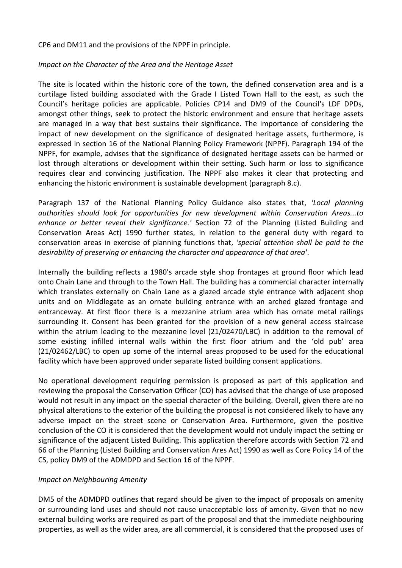CP6 and DM11 and the provisions of the NPPF in principle.

## *Impact on the Character of the Area and the Heritage Asset*

The site is located within the historic core of the town, the defined conservation area and is a curtilage listed building associated with the Grade I Listed Town Hall to the east, as such the Council's heritage policies are applicable. Policies CP14 and DM9 of the Council's LDF DPDs, amongst other things, seek to protect the historic environment and ensure that heritage assets are managed in a way that best sustains their significance. The importance of considering the impact of new development on the significance of designated heritage assets, furthermore, is expressed in section 16 of the National Planning Policy Framework (NPPF). Paragraph 194 of the NPPF, for example, advises that the significance of designated heritage assets can be harmed or lost through alterations or development within their setting. Such harm or loss to significance requires clear and convincing justification. The NPPF also makes it clear that protecting and enhancing the historic environment is sustainable development (paragraph 8.c).

Paragraph 137 of the National Planning Policy Guidance also states that, *'Local planning authorities should look for opportunities for new development within Conservation Areas...to enhance or better reveal their significance.'* Section 72 of the Planning (Listed Building and Conservation Areas Act) 1990 further states, in relation to the general duty with regard to conservation areas in exercise of planning functions that, *'special attention shall be paid to the desirability of preserving or enhancing the character and appearance of that area'*.

Internally the building reflects a 1980's arcade style shop frontages at ground floor which lead onto Chain Lane and through to the Town Hall. The building has a commercial character internally which translates externally on Chain Lane as a glazed arcade style entrance with adjacent shop units and on Middlegate as an ornate building entrance with an arched glazed frontage and entranceway. At first floor there is a mezzanine atrium area which has ornate metal railings surrounding it. Consent has been granted for the provision of a new general access staircase within the atrium leading to the mezzanine level (21/02470/LBC) in addition to the removal of some existing infilled internal walls within the first floor atrium and the 'old pub' area (21/02462/LBC) to open up some of the internal areas proposed to be used for the educational facility which have been approved under separate listed building consent applications.

No operational development requiring permission is proposed as part of this application and reviewing the proposal the Conservation Officer (CO) has advised that the change of use proposed would not result in any impact on the special character of the building. Overall, given there are no physical alterations to the exterior of the building the proposal is not considered likely to have any adverse impact on the street scene or Conservation Area. Furthermore, given the positive conclusion of the CO it is considered that the development would not unduly impact the setting or significance of the adjacent Listed Building. This application therefore accords with Section 72 and 66 of the Planning (Listed Building and Conservation Ares Act) 1990 as well as Core Policy 14 of the CS, policy DM9 of the ADMDPD and Section 16 of the NPPF.

## *Impact on Neighbouring Amenity*

DM5 of the ADMDPD outlines that regard should be given to the impact of proposals on amenity or surrounding land uses and should not cause unacceptable loss of amenity. Given that no new external building works are required as part of the proposal and that the immediate neighbouring properties, as well as the wider area, are all commercial, it is considered that the proposed uses of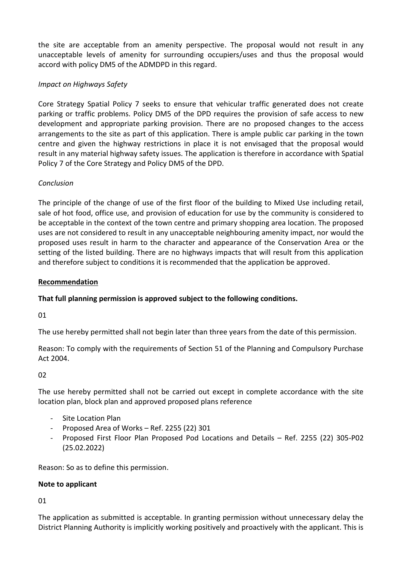the site are acceptable from an amenity perspective. The proposal would not result in any unacceptable levels of amenity for surrounding occupiers/uses and thus the proposal would accord with policy DM5 of the ADMDPD in this regard.

# *Impact on Highways Safety*

Core Strategy Spatial Policy 7 seeks to ensure that vehicular traffic generated does not create parking or traffic problems. Policy DM5 of the DPD requires the provision of safe access to new development and appropriate parking provision. There are no proposed changes to the access arrangements to the site as part of this application. There is ample public car parking in the town centre and given the highway restrictions in place it is not envisaged that the proposal would result in any material highway safety issues. The application is therefore in accordance with Spatial Policy 7 of the Core Strategy and Policy DM5 of the DPD.

# *Conclusion*

The principle of the change of use of the first floor of the building to Mixed Use including retail, sale of hot food, office use, and provision of education for use by the community is considered to be acceptable in the context of the town centre and primary shopping area location. The proposed uses are not considered to result in any unacceptable neighbouring amenity impact, nor would the proposed uses result in harm to the character and appearance of the Conservation Area or the setting of the listed building. There are no highways impacts that will result from this application and therefore subject to conditions it is recommended that the application be approved.

## **Recommendation**

## **That full planning permission is approved subject to the following conditions.**

01

The use hereby permitted shall not begin later than three years from the date of this permission.

Reason: To comply with the requirements of Section 51 of the Planning and Compulsory Purchase Act 2004.

02

The use hereby permitted shall not be carried out except in complete accordance with the site location plan, block plan and approved proposed plans reference

- Site Location Plan
- Proposed Area of Works Ref. 2255 (22) 301
- Proposed First Floor Plan Proposed Pod Locations and Details Ref. 2255 (22) 305-P02 (25.02.2022)

Reason: So as to define this permission.

### **Note to applicant**

01

The application as submitted is acceptable. In granting permission without unnecessary delay the District Planning Authority is implicitly working positively and proactively with the applicant. This is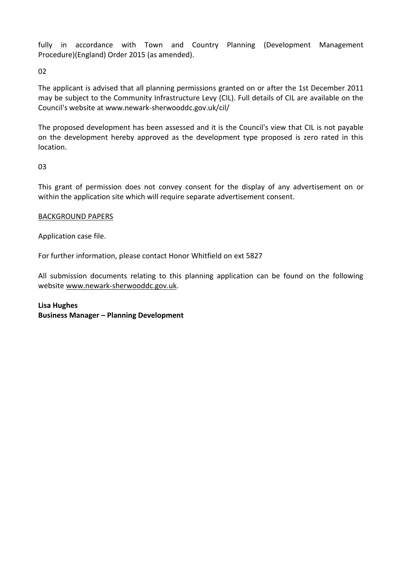fully in accordance with Town and Country Planning (Development Management Procedure)(England) Order 2015 (as amended).

02

The applicant is advised that all planning permissions granted on or after the 1st December 2011 may be subject to the Community Infrastructure Levy (CIL). Full details of CIL are available on the Council's website at www.newark-sherwooddc.gov.uk/cil/

The proposed development has been assessed and it is the Council's view that CIL is not payable on the development hereby approved as the development type proposed is zero rated in this location.

03

This grant of permission does not convey consent for the display of any advertisement on or within the application site which will require separate advertisement consent.

## BACKGROUND PAPERS

Application case file.

For further information, please contact Honor Whitfield on ext 5827

All submission documents relating to this planning application can be found on the following websit[e www.newark-sherwooddc.gov.uk.](http://www.newark-sherwooddc.gov.uk/)

**Lisa Hughes Business Manager – Planning Development**